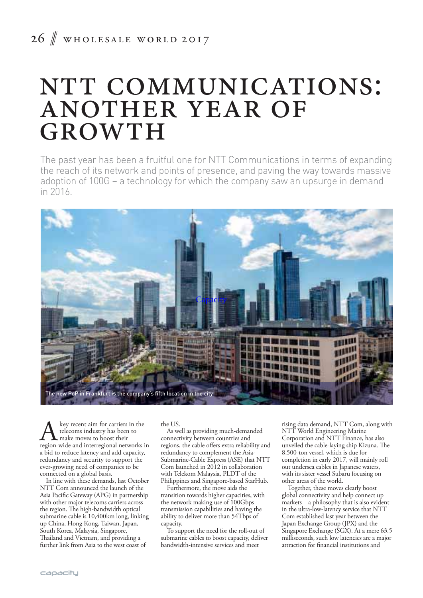## 26 WHOLESALE WORLD 2017

# NTT COMMUNICATIONS: ANOTHER YEAR OF GROWTH

The past year has been a fruitful one for NTT Communications in terms of expanding the reach of its network and points of presence, and paving the way towards massive adoption of 100G – a technology for which the company saw an upsurge in demand in 2016.



A key recent aim for carriers in the<br>telecoms industry has been to<br>region-wide and interregional networks in telecoms industry has been to make moves to boost their a bid to reduce latency and add capacity, redundancy and security to support the ever-growing need of companies to be connected on a global basis.

In line with these demands, last October NTT Com announced the launch of the Asia Pacific Gateway (APG) in partnership with other major telecoms carriers across the region. The high-bandwidth optical submarine cable is 10,400km long, linking up China, Hong Kong, Taiwan, Japan, South Korea, Malaysia, Singapore, Thailand and Vietnam, and providing a further link from Asia to the west coast of

the US.

As well as providing much-demanded connectivity between countries and regions, the cable offers extra reliability and redundancy to complement the Asia-Submarine-Cable Express (ASE) that NTT Com launched in 2012 in collaboration with Telekom Malaysia, PLDT of the Philippines and Singapore-based StarHub.

Furthermore, the move aids the transition towards higher capacities, with the network making use of 100Gbps transmission capabilities and having the ability to deliver more than 54Tbps of capacity.

To support the need for the roll-out of submarine cables to boost capacity, deliver bandwidth-intensive services and meet

rising data demand, NTT Com, along with NTT World Engineering Marine Corporation and NTT Finance, has also unveiled the cable-laying ship Kizuna. The 8,500-ton vessel, which is due for completion in early 2017, will mainly roll out undersea cables in Japanese waters, with its sister vessel Subaru focusing on other areas of the world.

Together, these moves clearly boost global connectivity and help connect up markets – a philosophy that is also evident in the ultra-low-latency service that NTT Com established last year between the Japan Exchange Group (JPX) and the Singapore Exchange (SGX). At a mere 63.5 milliseconds, such low latencies are a major attraction for financial institutions and